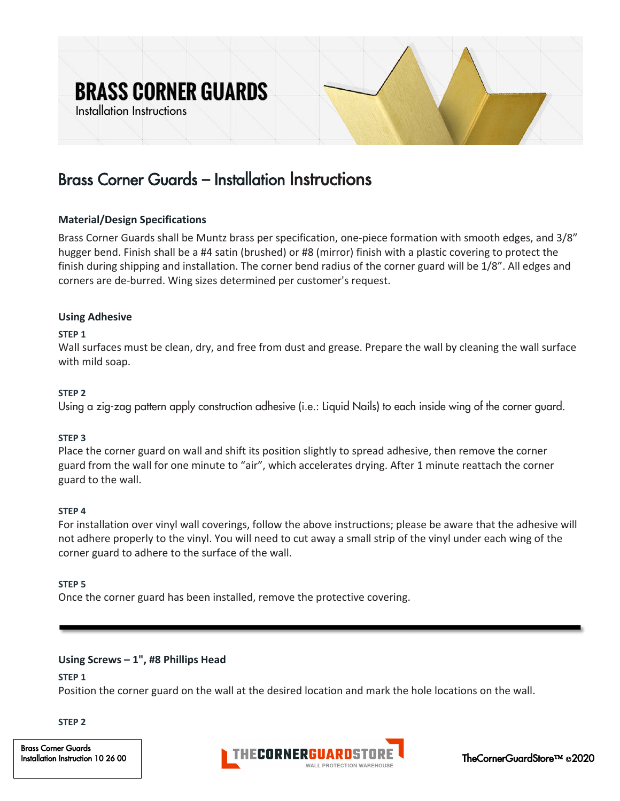# **BRASS CORNER GUARDS**

Installation Instructions



## Brass Corner Guards – Installation Instructions

#### **Material/Design Specifications**

Brass Corner Guards shall be Muntz brass per specification, one-piece formation with smooth edges, and 3/8" hugger bend. Finish shall be a #4 satin (brushed) or #8 (mirror) finish with a plastic covering to protect the finish during shipping and installation. The corner bend radius of the corner guard will be 1/8". All edges and corners are de-burred. Wing sizes determined per customer's request.

#### **Using Adhesive**

#### **STEP 1**

Wall surfaces must be clean, dry, and free from dust and grease. Prepare the wall by cleaning the wall surface with mild soap.

#### **STEP 2**

Using a zig-zag pattern apply construction adhesive (i.e.: Liquid Nails) to each inside wing of the corner guard.

#### **STEP 3**

Place the corner guard on wall and shift its position slightly to spread adhesive, then remove the corner guard from the wall for one minute to "air", which accelerates drying. After 1 minute reattach the corner guard to the wall.

#### **STEP 4**

For installation over vinyl wall coverings, follow the above instructions; please be aware that the adhesive will not adhere properly to the vinyl. You will need to cut away a small strip of the vinyl under each wing of the corner guard to adhere to the surface of the wall.

#### **STEP 5**

Once the corner guard has been installed, remove the protective covering.

#### **Using Screws – 1", #8 Phillips Head**

**STEP 1** 

Position the corner guard on the wall at the desired location and mark the hole locations on the wall.

**STEP 2**